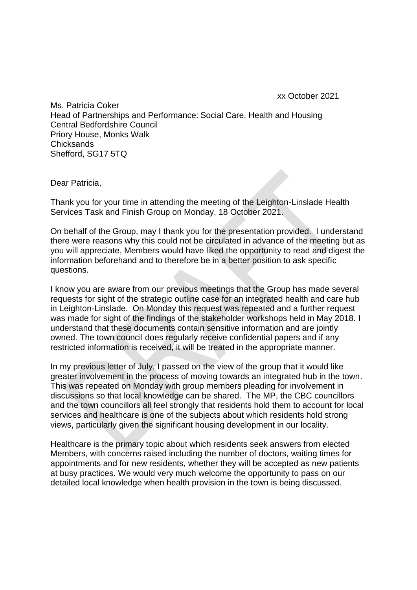xx October 2021

Ms. Patricia Coker Head of Partnerships and Performance: Social Care, Health and Housing Central Bedfordshire Council Priory House, Monks Walk **Chicksands** Shefford, SG17 5TQ

Dear Patricia,

Thank you for your time in attending the meeting of the Leighton-Linslade Health Services Task and Finish Group on Monday, 18 October 2021.

On behalf of the Group, may I thank you for the presentation provided. I understand there were reasons why this could not be circulated in advance of the meeting but as you will appreciate, Members would have liked the opportunity to read and digest the information beforehand and to therefore be in a better position to ask specific questions.

I know you are aware from our previous meetings that the Group has made several requests for sight of the strategic outline case for an integrated health and care hub in Leighton-Linslade. On Monday this request was repeated and a further request was made for sight of the findings of the stakeholder workshops held in May 2018. I understand that these documents contain sensitive information and are jointly owned. The town council does regularly receive confidential papers and if any restricted information is received, it will be treated in the appropriate manner.

In my previous letter of July, I passed on the view of the group that it would like greater involvement in the process of moving towards an integrated hub in the town. This was repeated on Monday with group members pleading for involvement in discussions so that local knowledge can be shared. The MP, the CBC councillors and the town councillors all feel strongly that residents hold them to account for local services and healthcare is one of the subjects about which residents hold strong views, particularly given the significant housing development in our locality.

Healthcare is the primary topic about which residents seek answers from elected Members, with concerns raised including the number of doctors, waiting times for appointments and for new residents, whether they will be accepted as new patients at busy practices. We would very much welcome the opportunity to pass on our detailed local knowledge when health provision in the town is being discussed.